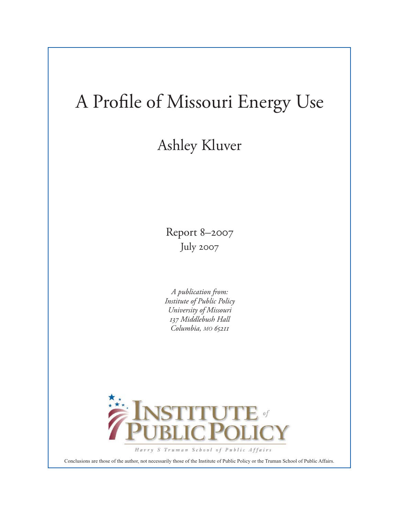## A Profile of Missouri Energy Use

## Ashley Kluver

Report 8–2007 July 2007

*A publication from: Institute of Public Policy University of Missouri 137 Middlebush Hall Columbia, MO 65211*



Conclusions are those of the author, not necessarily those of the Institute of Public Policy or the Truman School of Public Affairs.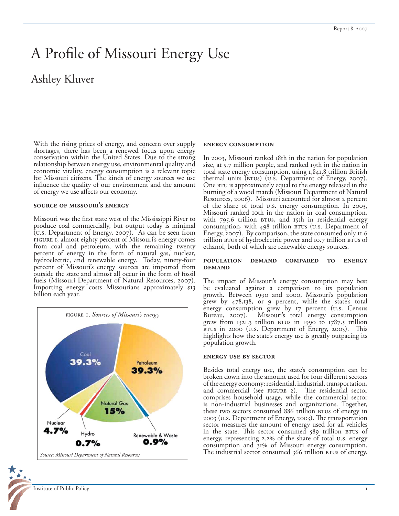## A Profile of Missouri Energy Use

### Ashley Kluver

With the rising prices of energy, and concern over supply shortages, there has been a renewed focus upon energy conservation within the United States. Due to the strong relationship between energy use, environmental quality and economic vitality, energy consumption is a relevant topic for Missouri citizens. The kinds of energy sources we use influence the quality of our environment and the amount of energy we use affects our economy.

#### **source of missouri's energy**

Missouri was the first state west of the Mississippi River to produce coal commercially, but output today is minimal (u.s. Department of Energy, 2007). As can be seen from FIGURE 1, almost eighty percent of Missouri's energy comes from coal and petroleum, with the remaining twenty percent of energy in the form of natural gas, nuclear, hydroelectric, and renewable energy. Today, ninety-four percent of Missouri's energy sources are imported from outside the state and almost all occur in the form of fossil fuels (Missouri Department of Natural Resources, 2007). Importing energy costs Missourians approximately \$13 billion each year.



# Institute of Public Policy

#### **energy consumption**

In 2003, Missouri ranked 18th in the nation for population size, at 5.7 million people, and ranked 19th in the nation in total state energy consumption, using 1,841.8 trillion British thermal units (BTUS) (U.S. Department of Energy, 2007). One  $B$ tu is approximately equal to the energy released in the burning of a wood match (Missouri Department of Natural Resources, 2006). Missouri accounted for almost 2 percent of the share of total u.s. energy consumption. In 2003, Missouri ranked 10th in the nation in coal consumption, with  $795.6$  trillion  $BTUs$ , and  $15th$  in residential energy consumption, with  $498$  trillion  $BTUs$  (u.s. Department of Energy, 2007). By comparison, the state consumed only 11.6 trillion brus of hydroelectric power and 10.7 trillion brus of ethanol, both of which are renewable energy sources.

#### **population demand compared to energy demand**

The impact of Missouri's energy consumption may best be evaluated against a comparison to its population growth. Between 1990 and 2000, Missouri's population grew by 478,138, or 9 percent, while the state's total energy consumption grew by 17 percent (u.s. Census Bureau, 2007). Missouri's total energy consumption grew from  $1521.3$  trillion  $BTUs$  in 1990 to  $1787.5$  trillion BTUS in 2000 (U.S. Department of Energy, 2003). This highlights how the state's energy use is greatly outpacing its population growth.

#### **energy use by sector**

Besides total energy use, the state's consumption can be broken down into the amount used for four different sectors of the energy economy: residential, industrial, transportation, and commercial (see FIGURE 2). The residential sector comprises household usage, while the commercial sector is non-industrial businesses and organizations. Together, these two sectors consumed 886 trillion BTUs of energy in 2003 (u.s. Department of Energy, 2003). The transportation sector measures the amount of energy used for all vehicles in the state. This sector consumed 589 trillion BTUs of energy, representing 2.2% of the share of total u.s. energy consumption and  $31%$  of Missouri energy consumption. The industrial sector consumed 366 trillion BTUs of energy.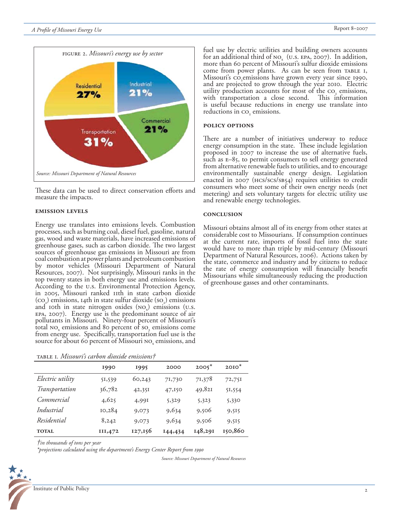

These data can be used to direct conservation efforts and measure the impacts.

#### **emission levels**

Energy use translates into emissions levels. Combustion processes, such as burning coal, diesel fuel, gasoline, natural gas, wood and waste materials, have increased emissions of greenhouse gases, such as carbon dioxide. The two largest sources of greenhouse gas emissions in Missouri are from coal combustion at power plants and petroleum combustion by motor vehicles (Missouri Department of Natural Resources, 2007). Not surprisingly, Missouri ranks in the top twenty states in both energy use and emissions levels. According to the u.s. Environmental Protection Agency, in 2005, Missouri ranked 11th in state carbon dioxide  $(co, )$  emissions, 14th in state sulfur dioxide  $(so, )$  emissions and 10th in state nitrogen oxides  $(NO_x)$  emissions  $(U.S.$ epa, 2007). Energy use is the predominant source of air pollutants in Missouri. Ninety-four percent of Missouri's total  $no_x$  emissions and 80 percent of so<sub>z</sub> emissions come from energy use. Specifically, transportation fuel use is the source for about 60 percent of Missouri NO<sub>x</sub> emissions, and

|  | TABLE I. Missouri's carbon dioxide emissions† |  |  |  |
|--|-----------------------------------------------|--|--|--|
|--|-----------------------------------------------|--|--|--|

|                  | 1990    | 1995    | 2000    | $2005*$ | $20I0^*$ |
|------------------|---------|---------|---------|---------|----------|
| Electric utility | 51,539  | 60,243  | 71,730  | 71,378  | 72,751   |
| Transportation   | 36,782  | 42,351  | 47,150  | 49,82I  | 51,554   |
| Commercial       | 4,625   | 4,991   | 5,329   | 5,323   | 5,330    |
| Industrial       | 10,284  | 9,073   | 9,634   | 9,506   | 9,515    |
| Residential      | 8,242   | 9,073   | 9,634   | 9,506   | 9,515    |
| <b>TOTAL</b>     | III,472 | 127,156 | 144,434 | 148,291 | 150,860  |

*†in thousands of tons per year*

*\*projections calculated using the department's Energy Center Report from 1990*

*Source: Missouri Department of Natural Resources*

fuel use by electric utilities and building owners accounts for an additional third of  $NO_x$  (U.S. EPA, 2007). In addition, more than 60 percent of Missouri's sulfur dioxide emissions come from power plants. As can be seen from TABLE I, Missouri's co<sub>2</sub>emissions have grown every year since 1990, and are projected to grow through the year 2010. Electric utility production accounts for most of the  $\text{co}_2$  emissions, with transportation a close second. This information is useful because reductions in energy use translate into reductions in co<sub>2</sub> emissions.

#### **policy options**

There are a number of initiatives underway to reduce energy consumption in the state. These include legislation proposed in 2007 to increase the use of alternative fuels, such as e–85, to permit consumers to sell energy generated from alternative renewable fuels to utilities, and to encourage environmentally sustainable energy design. Legislation enacted in 2007 (HCS/SCS/SB54) requires utilities to credit consumers who meet some of their own energy needs (net metering) and sets voluntary targets for electric utility use and renewable energy technologies.

#### **conclusion**

Missouri obtains almost all of its energy from other states at considerable cost to Missourians. If consumption continues at the current rate, imports of fossil fuel into the state would have to more than triple by mid-century (Missouri Department of Natural Resources, 2006). Actions taken by the state, commerce and industry and by citizens to reduce the rate of energy consumption will financially benefit Missourians while simultaneously reducing the production of greenhouse gasses and other contaminants.